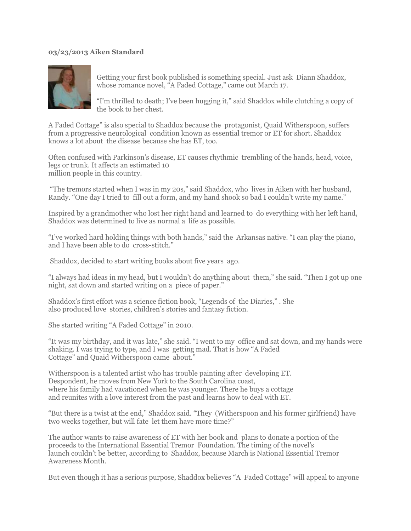## **03/23/2013 Aiken Standard**



Getting your first book published is something special. Just ask Diann Shaddox, whose romance novel, "A Faded Cottage," came out March 17.

"I'm thrilled to death; I've been hugging it," said Shaddox while clutching a copy of the book to her chest.

A Faded Cottage" is also special to Shaddox because the protagonist, Quaid Witherspoon, suffers from a progressive neurological condition known as essential tremor or ET for short. Shaddox knows a lot about the disease because she has ET, too.

Often confused with Parkinson's disease, ET causes rhythmic trembling of the hands, head, voice, legs or trunk. It affects an estimated 10 million people in this country.

"The tremors started when I was in my 20s," said Shaddox, who lives in Aiken with her husband, Randy. "One day I tried to fill out a form, and my hand shook so bad I couldn't write my name."

Inspired by a grandmother who lost her right hand and learned to do everything with her left hand, Shaddox was determined to live as normal a life as possible.

"I've worked hard holding things with both hands," said the Arkansas native. "I can play the piano, and I have been able to do cross-stitch."

Shaddox, decided to start writing books about five years ago.

"I always had ideas in my head, but I wouldn't do anything about them," she said. "Then I got up one night, sat down and started writing on a piece of paper."

Shaddox's first effort was a science fiction book, "Legends of the Diaries," . She also produced love stories, children's stories and fantasy fiction.

She started writing "A Faded Cottage" in 2010.

"It was my birthday, and it was late," she said. "I went to my office and sat down, and my hands were shaking. I was trying to type, and I was getting mad. That is how "A Faded Cottage" and Quaid Witherspoon came about."

Witherspoon is a talented artist who has trouble painting after developing ET. Despondent, he moves from New York to the South Carolina coast, where his family had vacationed when he was younger. There he buys a cottage and reunites with a love interest from the past and learns how to deal with ET.

"But there is a twist at the end," Shaddox said. "They (Witherspoon and his former girlfriend) have two weeks together, but will fate let them have more time?"

The author wants to raise awareness of ET with her book and plans to donate a portion of the proceeds to the International Essential Tremor Foundation. The timing of the novel's launch couldn't be better, according to Shaddox, because March is National Essential Tremor Awareness Month.

But even though it has a serious purpose, Shaddox believes "A Faded Cottage" will appeal to anyone